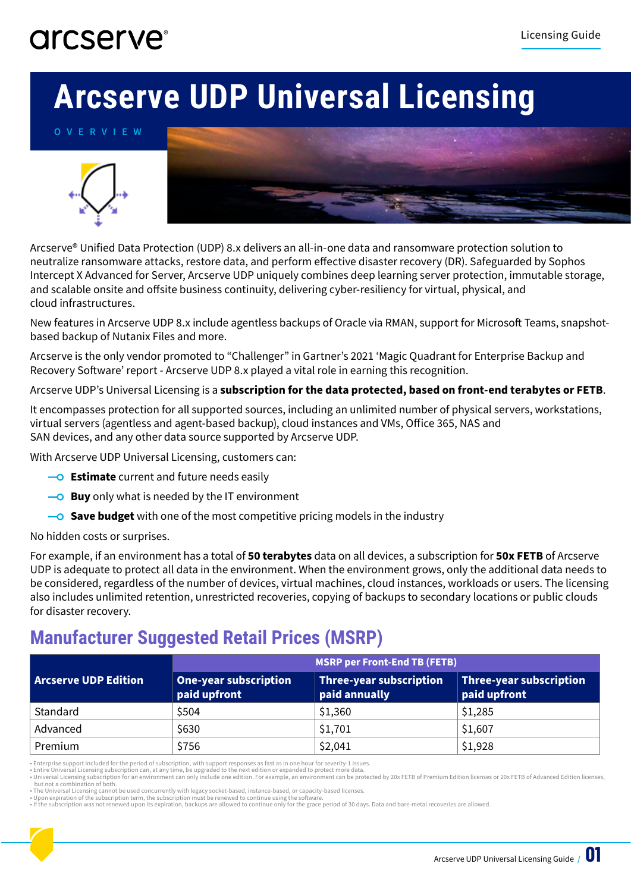#### arcserve<sup>®</sup>

# **Arcserve UDP Universal Licensing**

**OVERVIEW**





Arcserve® Unified Data Protection (UDP) 8.x delivers an all-in-one data and ransomware protection solution to neutralize ransomware attacks, restore data, and perform effective disaster recovery (DR). Safeguarded by Sophos Intercept X Advanced for Server, Arcserve UDP uniquely combines deep learning server protection, immutable storage, and scalable onsite and offsite business continuity, delivering cyber-resiliency for virtual, physical, and cloud infrastructures.

New features in Arcserve UDP 8.x include agentless backups of Oracle via RMAN, support for Microsoft Teams, snapshotbased backup of Nutanix Files and more.

Arcserve is the only vendor promoted to "Challenger" in Gartner's 2021 'Magic Quadrant for Enterprise Backup and Recovery Software' report - Arcserve UDP 8.x played a vital role in earning this recognition.

Arcserve UDP's Universal Licensing is a **subscription for the data protected, based on front-end terabytes or FETB**.

It encompasses protection for all supported sources, including an unlimited number of physical servers, workstations, virtual servers (agentless and agent-based backup), cloud instances and VMs, Office 365, NAS and SAN devices, and any other data source supported by Arcserve UDP.

With Arcserve UDP Universal Licensing, customers can:

- **-O Estimate** current and future needs easily
- **Buy** only what is needed by the IT environment
- **Save budget** with one of the most competitive pricing models in the industry

No hidden costs or surprises.

For example, if an environment has a total of **50 terabytes** data on all devices, a subscription for **50x FETB** of Arcserve UDP is adequate to protect all data in the environment. When the environment grows, only the additional data needs to be considered, regardless of the number of devices, virtual machines, cloud instances, workloads or users. The licensing also includes unlimited retention, unrestricted recoveries, copying of backups to secondary locations or public clouds for disaster recovery.

#### **Manufacturer Suggested Retail Prices (MSRP)**

|                             | <b>MSRP per Front-End TB (FETB)</b>          |                                          |                                                |  |
|-----------------------------|----------------------------------------------|------------------------------------------|------------------------------------------------|--|
| <b>Arcserve UDP Edition</b> | <b>One-year subscription</b><br>paid upfront | Three-year subscription<br>paid annually | <b>Three-year subscription</b><br>paid upfront |  |
| Standard                    | \$504                                        | \$1,360                                  | \$1,285                                        |  |
| Advanced                    | \$630                                        | \$1,701                                  | \$1,607                                        |  |
| Premium                     | \$756                                        | \$2,041                                  | \$1,928                                        |  |

• Enterprise support included for the period of subscription, with support responses as fast as in one hour for severity-1 issues.<br>• Entire Universal Licensing subscription can, at any time, be upgraded to the next edition

• Universal Licensing subscription for an environment can only include one edition. For example, an environment can be protected by 20x FETB of Premium Edition licenses or 20x FETB of Advanced Edition licenses, but not a combination of both. • The Universal Licensing cannot be used concurrently with legacy socket-based, instance-based, or capacity-based licenses.

• Upon expiration of the subscription term, the subscription must be renewed to continue using the software.

• If the subscription was not renewed upon its expiration, backups are allowed to continue only for the grace period of 30 days. Data and bare-metal recoveries are allowed.